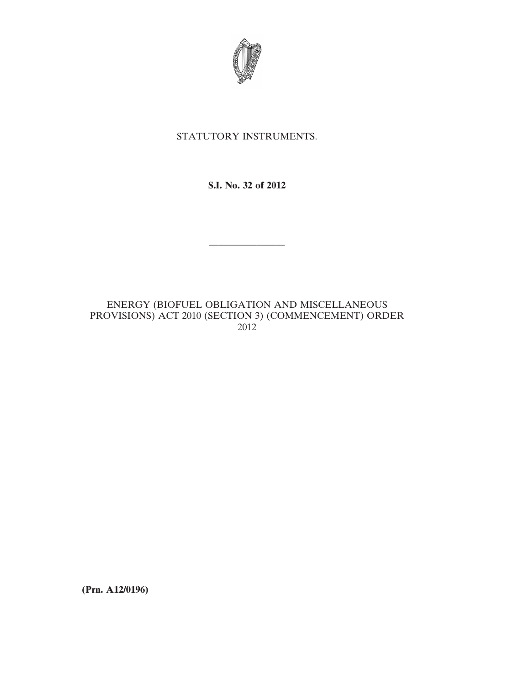

## STATUTORY INSTRUMENTS.

## **S.I. No. 32 of 2012**

————————

## ENERGY (BIOFUEL OBLIGATION AND MISCELLANEOUS PROVISIONS) ACT 2010 (SECTION 3) (COMMENCEMENT) ORDER 2012

**(Prn. A12/0196)**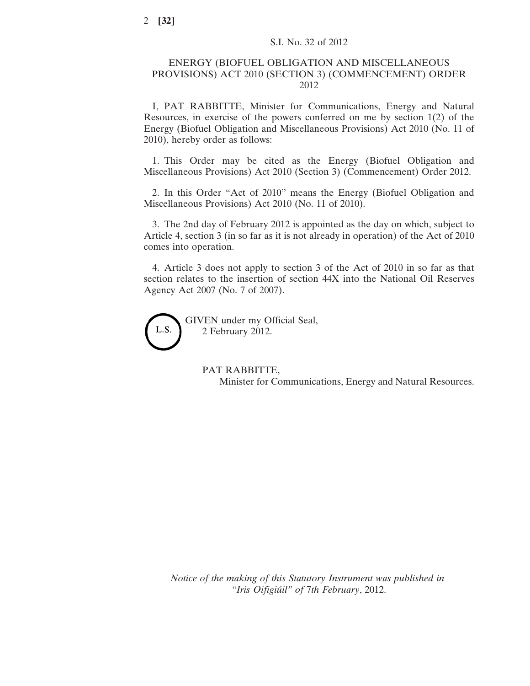## ENERGY (BIOFUEL OBLIGATION AND MISCELLANEOUS PROVISIONS) ACT 2010 (SECTION 3) (COMMENCEMENT) ORDER 2012

I, PAT RABBITTE, Minister for Communications, Energy and Natural Resources, in exercise of the powers conferred on me by section 1(2) of the Energy (Biofuel Obligation and Miscellaneous Provisions) Act 2010 (No. 11 of 2010), hereby order as follows:

1. This Order may be cited as the Energy (Biofuel Obligation and Miscellaneous Provisions) Act 2010 (Section 3) (Commencement) Order 2012.

2. In this Order "Act of 2010" means the Energy (Biofuel Obligation and Miscellaneous Provisions) Act 2010 (No. 11 of 2010).

3. The 2nd day of February 2012 is appointed as the day on which, subject to Article 4, section 3 (in so far as it is not already in operation) of the Act of 2010 comes into operation.

4. Article 3 does not apply to section 3 of the Act of 2010 in so far as that section relates to the insertion of section 44X into the National Oil Reserves Agency Act 2007 (No. 7 of 2007).



GIVEN under my Official Seal, 2 February 2012.

> PAT RABBITTE, Minister for Communications, Energy and Natural Resources.

*Notice of the making of this Statutory Instrument was published in "Iris Oifigiúil" of* 7*th February*, 2012.